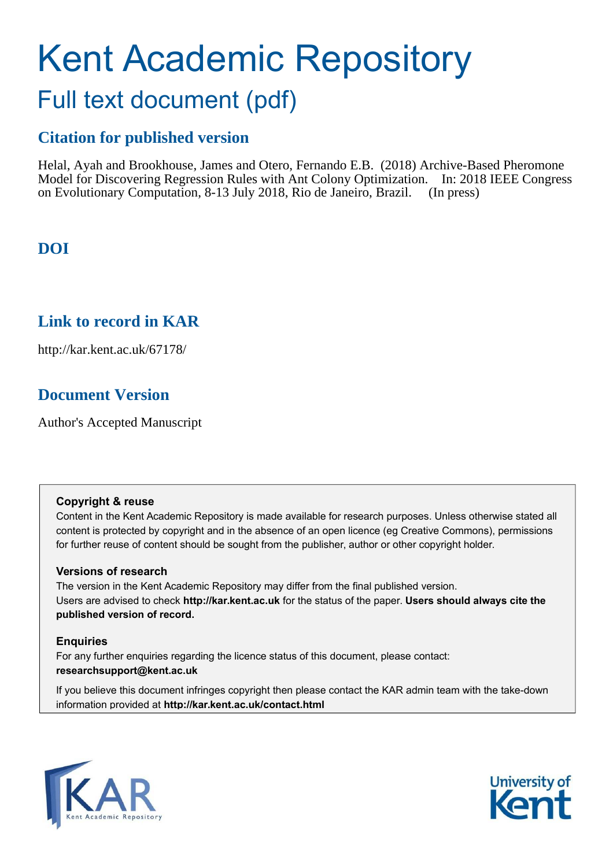# Kent Academic Repository Full text document (pdf)

### **Citation for published version**

Helal, Ayah and Brookhouse, James and Otero, Fernando E.B. (2018) Archive-Based Pheromone Model for Discovering Regression Rules with Ant Colony Optimization. In: 2018 IEEE Congress on Evolutionary Computation, 8-13 July 2018, Rio de Janeiro, Brazil. (In press)

### **DOI**

### **Link to record in KAR**

http://kar.kent.ac.uk/67178/

### **Document Version**

Author's Accepted Manuscript

#### **Copyright & reuse**

Content in the Kent Academic Repository is made available for research purposes. Unless otherwise stated all content is protected by copyright and in the absence of an open licence (eg Creative Commons), permissions for further reuse of content should be sought from the publisher, author or other copyright holder.

#### **Versions of research**

The version in the Kent Academic Repository may differ from the final published version. Users are advised to check **http://kar.kent.ac.uk** for the status of the paper. **Users should always cite the published version of record.**

#### **Enquiries**

For any further enquiries regarding the licence status of this document, please contact: **researchsupport@kent.ac.uk**

If you believe this document infringes copyright then please contact the KAR admin team with the take-down information provided at **http://kar.kent.ac.uk/contact.html**



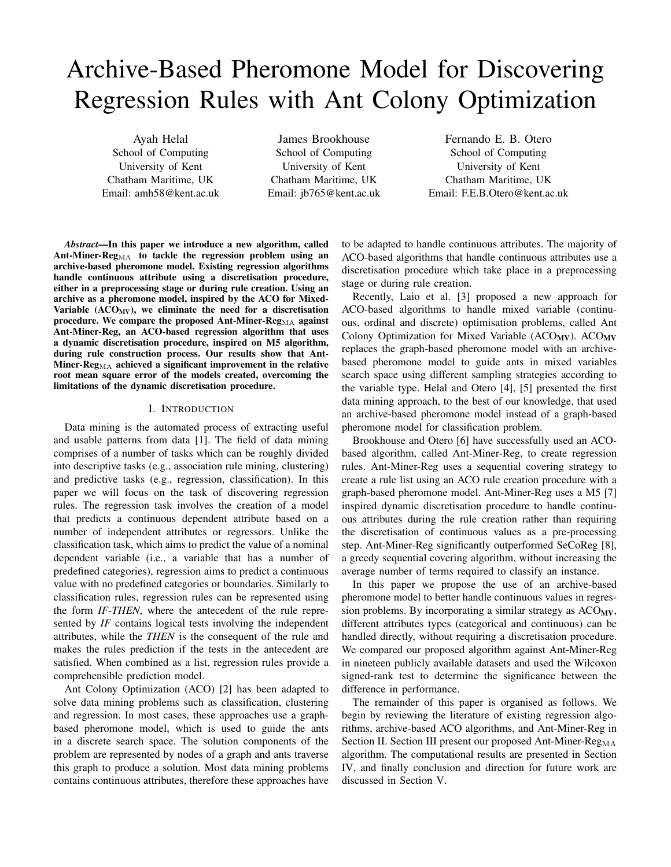## Archive-Based Pheromone Model for Discovering Regression Rules with Ant Colony Optimization

Ayah Helal School of Computing University of Kent Chatham Maritime, UK Email: amh58@kent.ac.uk

James Brookhouse School of Computing University of Kent Chatham Maritime, UK Email: jb765@kent.ac.uk

Fernando E. B. Otero School of Computing University of Kent Chatham Maritime, UK Email: F.E.B.Otero@kent.ac.uk

*Abstract*—In this paper we introduce a new algorithm, called Ant-Miner-Reg $_{\text{MA}}$  to tackle the regression problem using an archive-based pheromone model. Existing regression algorithms handle continuous attribute using a discretisation procedure, either in a preprocessing stage or during rule creation. Using an archive as a pheromone model, inspired by the ACO for Mixed-Variable  $(ACO_{MV})$ , we eliminate the need for a discretisation procedure. We compare the proposed Ant-Miner- $\text{Reg}_{\text{MA}}$  against Ant-Miner-Reg, an ACO-based regression algorithm that uses a dynamic discretisation procedure, inspired on M5 algorithm, during rule construction process. Our results show that Ant-Miner- $Reg_{MA}$  achieved a significant improvement in the relative root mean square error of the models created, overcoming the limitations of the dynamic discretisation procedure.

#### I. INTRODUCTION

Data mining is the automated process of extracting useful and usable patterns from data [1]. The field of data mining comprises of a number of tasks which can be roughly divided into descriptive tasks (e.g., association rule mining, clustering) and predictive tasks (e.g., regression, classification). In this paper we will focus on the task of discovering regression rules. The regression task involves the creation of a model that predicts a continuous dependent attribute based on a number of independent attributes or regressors. Unlike the classification task, which aims to predict the value of a nominal dependent variable (i.e., a variable that has a number of predefined categories), regression aims to predict a continuous value with no predefined categories or boundaries. Similarly to classification rules, regression rules can be represented using the form *IF-THEN*, where the antecedent of the rule represented by *IF* contains logical tests involving the independent attributes, while the *THEN* is the consequent of the rule and makes the rules prediction if the tests in the antecedent are satisfied. When combined as a list, regression rules provide a comprehensible prediction model.

Ant Colony Optimization (ACO) [2] has been adapted to solve data mining problems such as classification, clustering and regression. In most cases, these approaches use a graphbased pheromone model, which is used to guide the ants in a discrete search space. The solution components of the problem are represented by nodes of a graph and ants traverse this graph to produce a solution. Most data mining problems contains continuous attributes, therefore these approaches have

to be adapted to handle continuous attributes. The majority of ACO-based algorithms that handle continuous attributes use a discretisation procedure which take place in a preprocessing stage or during rule creation.

Recently, Laio et al. [3] proposed a new approach for ACO-based algorithms to handle mixed variable (continuous, ordinal and discrete) optimisation problems, called Ant Colony Optimization for Mixed Variable ( $ACO_{MV}$ ).  $ACO_{MV}$ replaces the graph-based pheromone model with an archivebased pheromone model to guide ants in mixed variables search space using different sampling strategies according to the variable type. Helal and Otero [4], [5] presented the first data mining approach, to the best of our knowledge, that used an archive-based pheromone model instead of a graph-based pheromone model for classification problem.

Brookhouse and Otero [6] have successfully used an ACObased algorithm, called Ant-Miner-Reg, to create regression rules. Ant-Miner-Reg uses a sequential covering strategy to create a rule list using an ACO rule creation procedure with a graph-based pheromone model. Ant-Miner-Reg uses a M5 [7] inspired dynamic discretisation procedure to handle continuous attributes during the rule creation rather than requiring the discretisation of continuous values as a pre-processing step. Ant-Miner-Reg significantly outperformed SeCoReg [8], a greedy sequential covering algorithm, without increasing the average number of terms required to classify an instance.

In this paper we propose the use of an archive-based pheromone model to better handle continuous values in regression problems. By incorporating a similar strategy as  $ACO_{MV}$ , different attributes types (categorical and continuous) can be handled directly, without requiring a discretisation procedure. We compared our proposed algorithm against Ant-Miner-Reg in nineteen publicly available datasets and used the Wilcoxon signed-rank test to determine the significance between the difference in performance.

The remainder of this paper is organised as follows. We begin by reviewing the literature of existing regression algorithms, archive-based ACO algorithms, and Ant-Miner-Reg in Section II. Section III present our proposed Ant-Miner- $Reg_{MA}$ algorithm. The computational results are presented in Section IV, and finally conclusion and direction for future work are discussed in Section V.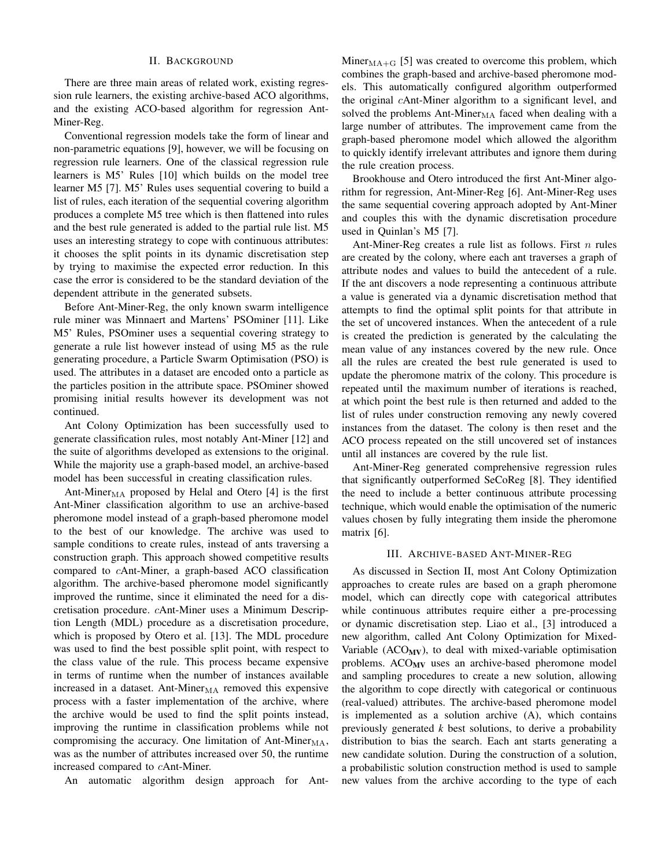#### II. BACKGROUND

There are three main areas of related work, existing regression rule learners, the existing archive-based ACO algorithms, and the existing ACO-based algorithm for regression Ant-Miner-Reg.

Conventional regression models take the form of linear and non-parametric equations [9], however, we will be focusing on regression rule learners. One of the classical regression rule learners is M5' Rules [10] which builds on the model tree learner M5 [7]. M5' Rules uses sequential covering to build a list of rules, each iteration of the sequential covering algorithm produces a complete M5 tree which is then flattened into rules and the best rule generated is added to the partial rule list. M5 uses an interesting strategy to cope with continuous attributes: it chooses the split points in its dynamic discretisation step by trying to maximise the expected error reduction. In this case the error is considered to be the standard deviation of the dependent attribute in the generated subsets.

Before Ant-Miner-Reg, the only known swarm intelligence rule miner was Minnaert and Martens' PSOminer [11]. Like M5' Rules, PSOminer uses a sequential covering strategy to generate a rule list however instead of using M5 as the rule generating procedure, a Particle Swarm Optimisation (PSO) is used. The attributes in a dataset are encoded onto a particle as the particles position in the attribute space. PSOminer showed promising initial results however its development was not continued.

Ant Colony Optimization has been successfully used to generate classification rules, most notably Ant-Miner [12] and the suite of algorithms developed as extensions to the original. While the majority use a graph-based model, an archive-based model has been successful in creating classification rules.

Ant-Miner $_{\text{MA}}$  proposed by Helal and Otero [4] is the first Ant-Miner classification algorithm to use an archive-based pheromone model instead of a graph-based pheromone model to the best of our knowledge. The archive was used to sample conditions to create rules, instead of ants traversing a construction graph. This approach showed competitive results compared to cAnt-Miner, a graph-based ACO classification algorithm. The archive-based pheromone model significantly improved the runtime, since it eliminated the need for a discretisation procedure. cAnt-Miner uses a Minimum Description Length (MDL) procedure as a discretisation procedure, which is proposed by Otero et al. [13]. The MDL procedure was used to find the best possible split point, with respect to the class value of the rule. This process became expensive in terms of runtime when the number of instances available increased in a dataset. Ant-Mine $r_{\text{MA}}$  removed this expensive process with a faster implementation of the archive, where the archive would be used to find the split points instead, improving the runtime in classification problems while not compromising the accuracy. One limitation of Ant-Mine $r_{\text{MA}}$ , was as the number of attributes increased over 50, the runtime increased compared to cAnt-Miner.

An automatic algorithm design approach for Ant-

Miner $_{\text{MA}+\text{G}}$  [5] was created to overcome this problem, which combines the graph-based and archive-based pheromone models. This automatically configured algorithm outperformed the original cAnt-Miner algorithm to a significant level, and solved the problems Ant-Miner $_{\text{MA}}$  faced when dealing with a large number of attributes. The improvement came from the graph-based pheromone model which allowed the algorithm to quickly identify irrelevant attributes and ignore them during the rule creation process.

Brookhouse and Otero introduced the first Ant-Miner algorithm for regression, Ant-Miner-Reg [6]. Ant-Miner-Reg uses the same sequential covering approach adopted by Ant-Miner and couples this with the dynamic discretisation procedure used in Quinlan's M5 [7].

Ant-Miner-Reg creates a rule list as follows. First  $n$  rules are created by the colony, where each ant traverses a graph of attribute nodes and values to build the antecedent of a rule. If the ant discovers a node representing a continuous attribute a value is generated via a dynamic discretisation method that attempts to find the optimal split points for that attribute in the set of uncovered instances. When the antecedent of a rule is created the prediction is generated by the calculating the mean value of any instances covered by the new rule. Once all the rules are created the best rule generated is used to update the pheromone matrix of the colony. This procedure is repeated until the maximum number of iterations is reached, at which point the best rule is then returned and added to the list of rules under construction removing any newly covered instances from the dataset. The colony is then reset and the ACO process repeated on the still uncovered set of instances until all instances are covered by the rule list.

Ant-Miner-Reg generated comprehensive regression rules that significantly outperformed SeCoReg [8]. They identified the need to include a better continuous attribute processing technique, which would enable the optimisation of the numeric values chosen by fully integrating them inside the pheromone matrix [6].

#### III. ARCHIVE-BASED ANT-MINER-REG

As discussed in Section II, most Ant Colony Optimization approaches to create rules are based on a graph pheromone model, which can directly cope with categorical attributes while continuous attributes require either a pre-processing or dynamic discretisation step. Liao et al., [3] introduced a new algorithm, called Ant Colony Optimization for Mixed-Variable ( $ACO_{MV}$ ), to deal with mixed-variable optimisation problems.  $ACO_{MV}$  uses an archive-based pheromone model and sampling procedures to create a new solution, allowing the algorithm to cope directly with categorical or continuous (real-valued) attributes. The archive-based pheromone model is implemented as a solution archive (A), which contains previously generated *k* best solutions, to derive a probability distribution to bias the search. Each ant starts generating a new candidate solution. During the construction of a solution, a probabilistic solution construction method is used to sample new values from the archive according to the type of each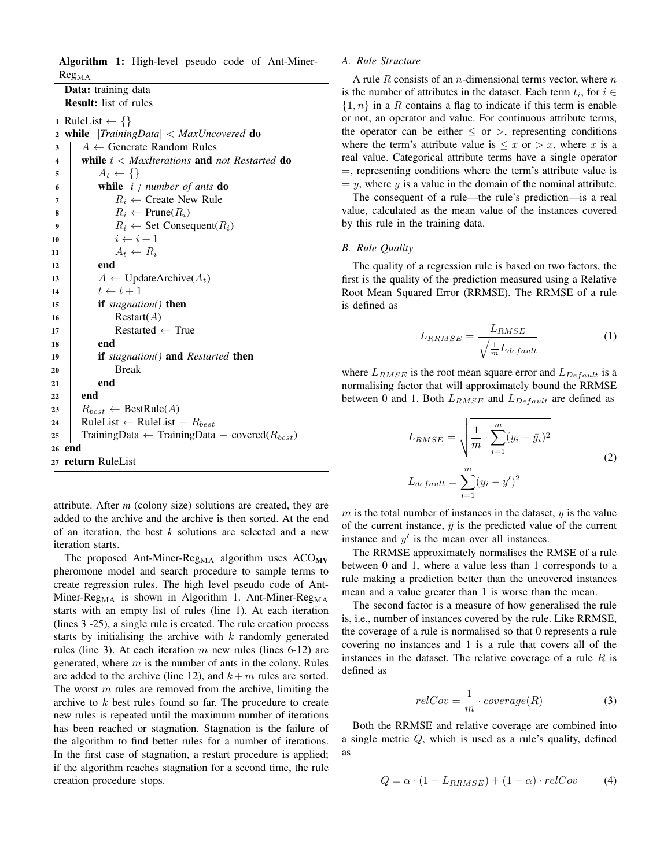Algorithm 1: High-level pseudo code of Ant-Miner- $Reg<sub>MA</sub>$ 

Data: training data Result: list of rules

1 RuleList  $\leftarrow \{\}$ <sup>2</sup> while |*TrainingData*| < *MaxUncovered* do 3  $A \leftarrow$  Generate Random Rules<br>4 while  $t <$  MaxIterations and i <sup>4</sup> while t < *MaxIterations* and *not Restarted* do  $\begin{array}{c|c} 5 & A_t \leftarrow \{\} \\ 6 & \text{while } i \end{array}$ <sup>6</sup> while *i ¡ number of ants* do 7 | |  $R_i \leftarrow$  Create New Rule 8  $R_i \leftarrow \text{Prune}(R_i)$ <br>9  $R_i \leftarrow \text{Set}$  Conserved 9  $\begin{array}{|c|c|c|c|c|} \hline \end{array}$  R<sub>i</sub>  $\leftarrow$  Set Consequent(R<sub>i</sub>)<br>10  $i \leftarrow i+1$  $i \leftarrow i + 1$  $\begin{array}{c|c} \n\mathbf{11} & 11 \\
\mathbf{12} & \mathbf{13} \\
\mathbf{14} & \mathbf{14} \\
\mathbf{15} & \mathbf{16} \\
\mathbf{17} & \mathbf{18} \\
\mathbf{18} & \mathbf{18} \\
\mathbf{19} & \mathbf{18} \\
\mathbf{19} & \mathbf{19} \\
\mathbf{10} & \mathbf{18} \\
\mathbf{11} & \mathbf{19} \\
\mathbf{10} & \mathbf{19} \\
\mathbf{11} & \mathbf{1$ end 13  $A \leftarrow \text{UpdateArchive}(A_t)$ <br>
14  $t \leftarrow t + 1$ 14  $\begin{array}{|c|c|c|c|}\n\hline\n & t \leftarrow t + 1 \\
\hline\n\textbf{if} \textit{stagnati}\n\end{array}$ if *stagnation()* then 16 | Restart $(A)$ 17 | Restarted ← True<br> **18** | end end <sup>19</sup> if *stagnation()* and *Restarted* then  $20$  | | Break  $21$  end  $22$  end 23  $R_{best} \leftarrow BestRule(A)$ <br>24 RuleList ← RuleList 24 RuleList ← RuleList +  $R_{best}$ <br>25 TrainingData ← TrainingData TrainingData ← TrainingData – covered( $R_{best}$ ) <sup>26</sup> end <sup>27</sup> return RuleList

#### *A. Rule Structure*

A rule R consists of an *n*-dimensional terms vector, where *n* is the number of attributes in the dataset. Each term  $t_i$ , for  $i \in$  $\{1, n\}$  in a R contains a flag to indicate if this term is enable or not, an operator and value. For continuous attribute terms, the operator can be either  $\leq$  or  $>$ , representing conditions where the term's attribute value is  $\leq x$  or  $> x$ , where x is a real value. Categorical attribute terms have a single operator =, representing conditions where the term's attribute value is  $= y$ , where y is a value in the domain of the nominal attribute.

The consequent of a rule—the rule's prediction—is a real value, calculated as the mean value of the instances covered by this rule in the training data.

#### *B. Rule Quality*

The quality of a regression rule is based on two factors, the first is the quality of the prediction measured using a Relative Root Mean Squared Error (RRMSE). The RRMSE of a rule is defined as

$$
L_{RRMSE} = \frac{L_{RMSE}}{\sqrt{\frac{1}{m}L_{default}}} \tag{1}
$$

where  $L_{RMSE}$  is the root mean square error and  $L_{Default}$  is a normalising factor that will approximately bound the RRMSE between 0 and 1. Both  $L_{RMSE}$  and  $L_{Default}$  are defined as

$$
L_{RMSE} = \sqrt{\frac{1}{m} \cdot \sum_{i=1}^{m} (y_i - \bar{y}_i)^2}
$$
  

$$
L_{default} = \sum_{i=1}^{m} (y_i - y')^2
$$
 (2)

attribute. After *m* (colony size) solutions are created, they are added to the archive and the archive is then sorted. At the end of an iteration, the best *k* solutions are selected and a new iteration starts.

The proposed Ant-Miner-Reg<sub>MA</sub> algorithm uses  $ACO_{MV}$ pheromone model and search procedure to sample terms to create regression rules. The high level pseudo code of Ant-Miner-Reg<sub>MA</sub> is shown in Algorithm 1. Ant-Miner-Reg<sub>MA</sub> starts with an empty list of rules (line 1). At each iteration (lines 3 -25), a single rule is created. The rule creation process starts by initialising the archive with  $k$  randomly generated rules (line 3). At each iteration  $m$  new rules (lines 6-12) are generated, where  $m$  is the number of ants in the colony. Rules are added to the archive (line 12), and  $k + m$  rules are sorted. The worst  $m$  rules are removed from the archive, limiting the archive to k best rules found so far. The procedure to create new rules is repeated until the maximum number of iterations has been reached or stagnation. Stagnation is the failure of the algorithm to find better rules for a number of iterations. In the first case of stagnation, a restart procedure is applied; if the algorithm reaches stagnation for a second time, the rule creation procedure stops.

 $m$  is the total number of instances in the dataset,  $y$  is the value of the current instance,  $\bar{y}$  is the predicted value of the current instance and  $y'$  is the mean over all instances.

The RRMSE approximately normalises the RMSE of a rule between 0 and 1, where a value less than 1 corresponds to a rule making a prediction better than the uncovered instances mean and a value greater than 1 is worse than the mean.

The second factor is a measure of how generalised the rule is, i.e., number of instances covered by the rule. Like RRMSE, the coverage of a rule is normalised so that 0 represents a rule covering no instances and 1 is a rule that covers all of the instances in the dataset. The relative coverage of a rule  $R$  is defined as

$$
relCov = \frac{1}{m} \cdot coverage(R) \tag{3}
$$

Both the RRMSE and relative coverage are combined into a single metric  $Q$ , which is used as a rule's quality, defined as

$$
Q = \alpha \cdot (1 - L_{RRMSE}) + (1 - \alpha) \cdot relCov \tag{4}
$$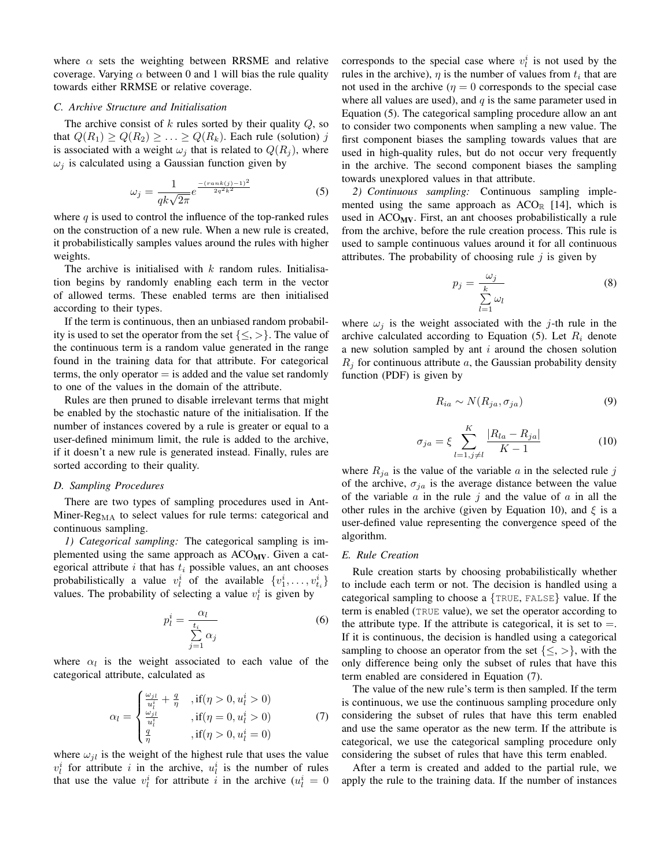where  $\alpha$  sets the weighting between RRSME and relative coverage. Varying  $\alpha$  between 0 and 1 will bias the rule quality towards either RRMSE or relative coverage.

#### *C. Archive Structure and Initialisation*

The archive consist of  $k$  rules sorted by their quality  $Q$ , so that  $Q(R_1) \geq Q(R_2) \geq \ldots \geq Q(R_k)$ . Each rule (solution) j is associated with a weight  $\omega_j$  that is related to  $Q(R_j)$ , where  $\omega_i$  is calculated using a Gaussian function given by

$$
\omega_j = \frac{1}{qk\sqrt{2\pi}}e^{\frac{-(rank(j)-1)^2}{2q^2k^2}}
$$
(5)

where  $q$  is used to control the influence of the top-ranked rules on the construction of a new rule. When a new rule is created, it probabilistically samples values around the rules with higher weights.

The archive is initialised with  $k$  random rules. Initialisation begins by randomly enabling each term in the vector of allowed terms. These enabled terms are then initialised according to their types.

If the term is continuous, then an unbiased random probability is used to set the operator from the set  $\{\leq,>\}$ . The value of the continuous term is a random value generated in the range found in the training data for that attribute. For categorical terms, the only operator  $=$  is added and the value set randomly to one of the values in the domain of the attribute.

Rules are then pruned to disable irrelevant terms that might be enabled by the stochastic nature of the initialisation. If the number of instances covered by a rule is greater or equal to a user-defined minimum limit, the rule is added to the archive, if it doesn't a new rule is generated instead. Finally, rules are sorted according to their quality.

#### *D. Sampling Procedures*

There are two types of sampling procedures used in Ant-Miner- $Reg_{MA}$  to select values for rule terms: categorical and continuous sampling.

*1) Categorical sampling:* The categorical sampling is implemented using the same approach as  $ACO_{MV}$ . Given a categorical attribute  $i$  that has  $t_i$  possible values, an ant chooses probabilistically a value  $v_l^i$  of the available  $\{v_1^i, \ldots, v_{t_i}^i\}$ values. The probability of selecting a value  $v_l^i$  is given by

$$
p_l^i = \frac{\alpha_l}{\sum\limits_{j=1}^{t_i} \alpha_j} \tag{6}
$$

where  $\alpha_l$  is the weight associated to each value of the categorical attribute, calculated as

$$
\alpha_{l} = \begin{cases} \frac{\omega_{jl}}{u_{l}^{i}} + \frac{q}{\eta} , \text{ if } (\eta > 0, u_{l}^{i} > 0) \\ \frac{\omega_{jl}}{u_{l}^{i}} , \text{ if } (\eta = 0, u_{l}^{i} > 0) \\ \frac{q}{\eta} , \text{ if } (\eta > 0, u_{l}^{i} = 0) \end{cases}
$$
(7)

where  $\omega_{jl}$  is the weight of the highest rule that uses the value  $v_l^i$  for attribute i in the archive,  $u_l^i$  is the number of rules that use the value  $v_i^i$  for attribute i in the archive  $(u_i^i = 0)$ 

corresponds to the special case where  $v_i^i$  is not used by the rules in the archive),  $\eta$  is the number of values from  $t_i$  that are not used in the archive ( $\eta = 0$  corresponds to the special case where all values are used), and  $q$  is the same parameter used in Equation (5). The categorical sampling procedure allow an ant to consider two components when sampling a new value. The first component biases the sampling towards values that are used in high-quality rules, but do not occur very frequently in the archive. The second component biases the sampling towards unexplored values in that attribute.

*2) Continuous sampling:* Continuous sampling implemented using the same approach as  $ACO_{\mathbb{R}}$  [14], which is used in  $ACO_{MV}$ . First, an ant chooses probabilistically a rule from the archive, before the rule creation process. This rule is used to sample continuous values around it for all continuous attributes. The probability of choosing rule  $i$  is given by

$$
p_j = \frac{\omega_j}{\sum_{l=1}^k \omega_l} \tag{8}
$$

where  $\omega_j$  is the weight associated with the j-th rule in the archive calculated according to Equation (5). Let  $R_i$  denote a new solution sampled by ant  $i$  around the chosen solution  $R_i$  for continuous attribute a, the Gaussian probability density function (PDF) is given by

$$
R_{ia} \sim N(R_{ja}, \sigma_{ja}) \tag{9}
$$

$$
\sigma_{ja} = \xi \sum_{l=1, j \neq l}^{K} \frac{|R_{la} - R_{ja}|}{K - 1}
$$
 (10)

where  $R_{ja}$  is the value of the variable a in the selected rule j of the archive,  $\sigma_{ja}$  is the average distance between the value of the variable  $\alpha$  in the rule  $j$  and the value of  $\alpha$  in all the other rules in the archive (given by Equation 10), and  $\xi$  is a user-defined value representing the convergence speed of the algorithm.

#### *E. Rule Creation*

Rule creation starts by choosing probabilistically whether to include each term or not. The decision is handled using a categorical sampling to choose a {TRUE, FALSE} value. If the term is enabled (TRUE value), we set the operator according to the attribute type. If the attribute is categorical, it is set to  $=$ . If it is continuous, the decision is handled using a categorical sampling to choose an operator from the set  $\{\leq,>\}$ , with the only difference being only the subset of rules that have this term enabled are considered in Equation (7).

The value of the new rule's term is then sampled. If the term is continuous, we use the continuous sampling procedure only considering the subset of rules that have this term enabled and use the same operator as the new term. If the attribute is categorical, we use the categorical sampling procedure only considering the subset of rules that have this term enabled.

After a term is created and added to the partial rule, we apply the rule to the training data. If the number of instances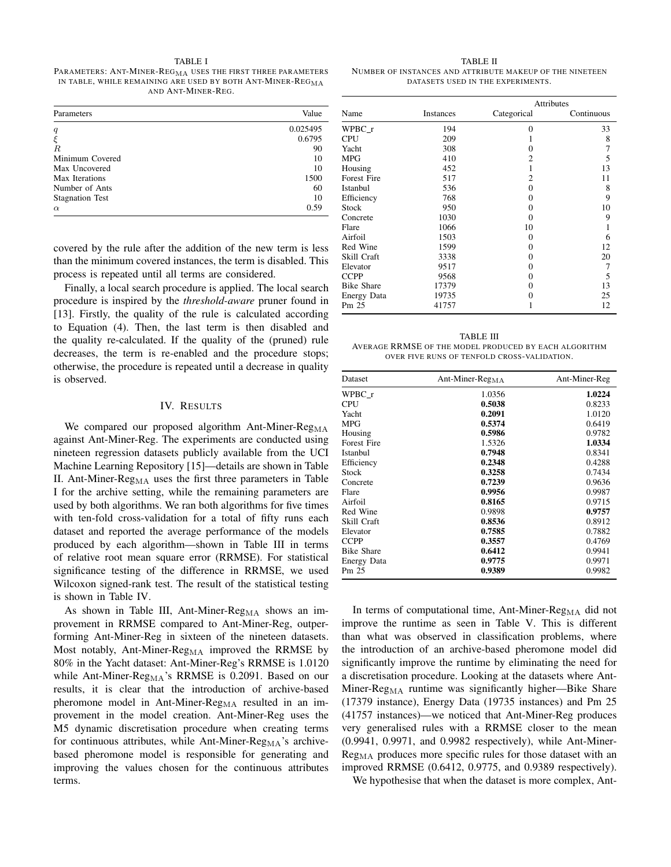#### TABLE I

PARAMETERS: ANT-MINER- $\mathrm{REG}_\mathrm{MA}$  uses the first three parameters IN TABLE, WHILE REMAINING ARE USED BY BOTH ANT-MINER-REG<sub>MA</sub> AND ANT-MINER-REG.

| Parameters             | Value    |
|------------------------|----------|
| q                      | 0.025495 |
| $\xi$                  | 0.6795   |
| $\overline{R}$         | 90       |
| Minimum Covered        | 10       |
| Max Uncovered          | 10       |
| Max Iterations         | 1500     |
| Number of Ants         | 60       |
| <b>Stagnation Test</b> | 10       |
| $\alpha$               | 0.59     |

covered by the rule after the addition of the new term is less than the minimum covered instances, the term is disabled. This process is repeated until all terms are considered.

Finally, a local search procedure is applied. The local search procedure is inspired by the *threshold-aware* pruner found in [13]. Firstly, the quality of the rule is calculated according to Equation (4). Then, the last term is then disabled and the quality re-calculated. If the quality of the (pruned) rule decreases, the term is re-enabled and the procedure stops; otherwise, the procedure is repeated until a decrease in quality is observed.

#### IV. RESULTS

We compared our proposed algorithm Ant-Miner-Reg $_{\text{MA}}$ against Ant-Miner-Reg. The experiments are conducted using nineteen regression datasets publicly available from the UCI Machine Learning Repository [15]—details are shown in Table II. Ant-Miner-Reg<sub>MA</sub> uses the first three parameters in Table I for the archive setting, while the remaining parameters are used by both algorithms. We ran both algorithms for five times with ten-fold cross-validation for a total of fifty runs each dataset and reported the average performance of the models produced by each algorithm—shown in Table III in terms of relative root mean square error (RRMSE). For statistical significance testing of the difference in RRMSE, we used Wilcoxon signed-rank test. The result of the statistical testing is shown in Table IV.

As shown in Table III, Ant-Miner-Reg<sub>MA</sub> shows an improvement in RRMSE compared to Ant-Miner-Reg, outperforming Ant-Miner-Reg in sixteen of the nineteen datasets. Most notably, Ant-Miner-Reg<sub>MA</sub> improved the RRMSE by 80% in the Yacht dataset: Ant-Miner-Reg's RRMSE is 1.0120 while Ant-Miner-Reg<sub>MA</sub>'s RRMSE is 0.2091. Based on our results, it is clear that the introduction of archive-based pheromone model in Ant-Miner- $Reg_{MA}$  resulted in an improvement in the model creation. Ant-Miner-Reg uses the M5 dynamic discretisation procedure when creating terms for continuous attributes, while Ant-Miner- $Reg_{MA}$ 's archivebased pheromone model is responsible for generating and improving the values chosen for the continuous attributes terms.

TABLE II NUMBER OF INSTANCES AND ATTRIBUTE MAKEUP OF THE NINETEEN DATASETS USED IN THE EXPERIMENTS.

|                   |           | <b>Attributes</b> |            |  |
|-------------------|-----------|-------------------|------------|--|
| Name              | Instances | Categorical       | Continuous |  |
| WPBC r            | 194       | $\Omega$          | 33         |  |
| <b>CPU</b>        | 209       |                   | 8          |  |
| Yacht             | 308       | 0                 | 7          |  |
| <b>MPG</b>        | 410       | 2                 | 5          |  |
| Housing           | 452       | 1                 | 13         |  |
| Forest Fire       | 517       | $\overline{c}$    | 11         |  |
| Istanbul          | 536       | 0                 | 8          |  |
| Efficiency        | 768       | 0                 | 9          |  |
| Stock             | 950       | 0                 | 10         |  |
| Concrete          | 1030      | 0                 | 9          |  |
| Flare             | 1066      | 10                |            |  |
| Airfoil           | 1503      | 0                 | 6          |  |
| Red Wine          | 1599      | 0                 | 12         |  |
| Skill Craft       | 3338      | 0                 | 20         |  |
| Elevator          | 9517      | 0                 | 7          |  |
| <b>CCPP</b>       | 9568      | 0                 | 5          |  |
| <b>Bike Share</b> | 17379     | 0                 | 13         |  |
| Energy Data       | 19735     | 0                 | 25         |  |
| Pm 25             | 41757     |                   | 12         |  |

TABLE III AVERAGE RRMSE OF THE MODEL PRODUCED BY EACH ALGORITHM OVER FIVE RUNS OF TENFOLD CROSS-VALIDATION.

| Dataset           | Ant-Miner-Reg <sub>MA</sub> | Ant-Miner-Reg |
|-------------------|-----------------------------|---------------|
| WPBC r            | 1.0356                      | 1.0224        |
| <b>CPU</b>        | 0.5038                      | 0.8233        |
| Yacht             | 0.2091                      | 1.0120        |
| <b>MPG</b>        | 0.5374                      | 0.6419        |
| Housing           | 0.5986                      | 0.9782        |
| Forest Fire       | 1.5326                      | 1.0334        |
| Istanbul          | 0.7948                      | 0.8341        |
| Efficiency        | 0.2348                      | 0.4288        |
| Stock             | 0.3258                      | 0.7434        |
| Concrete          | 0.7239                      | 0.9636        |
| Flare             | 0.9956                      | 0.9987        |
| Airfoil           | 0.8165                      | 0.9715        |
| Red Wine          | 0.9898                      | 0.9757        |
| Skill Craft       | 0.8536                      | 0.8912        |
| Elevator          | 0.7585                      | 0.7882        |
| <b>CCPP</b>       | 0.3557                      | 0.4769        |
| <b>Bike Share</b> | 0.6412                      | 0.9941        |
| Energy Data       | 0.9775                      | 0.9971        |
| Pm 25             | 0.9389                      | 0.9982        |

In terms of computational time, Ant-Miner- $Reg_{MA}$  did not improve the runtime as seen in Table V. This is different than what was observed in classification problems, where the introduction of an archive-based pheromone model did significantly improve the runtime by eliminating the need for a discretisation procedure. Looking at the datasets where Ant-Miner- $Reg_{MA}$  runtime was significantly higher—Bike Share (17379 instance), Energy Data (19735 instances) and Pm 25 (41757 instances)—we noticed that Ant-Miner-Reg produces very generalised rules with a RRMSE closer to the mean (0.9941, 0.9971, and 0.9982 respectively), while Ant-Miner- $Reg_{MA}$  produces more specific rules for those dataset with an improved RRMSE (0.6412, 0.9775, and 0.9389 respectively).

We hypothesise that when the dataset is more complex, Ant-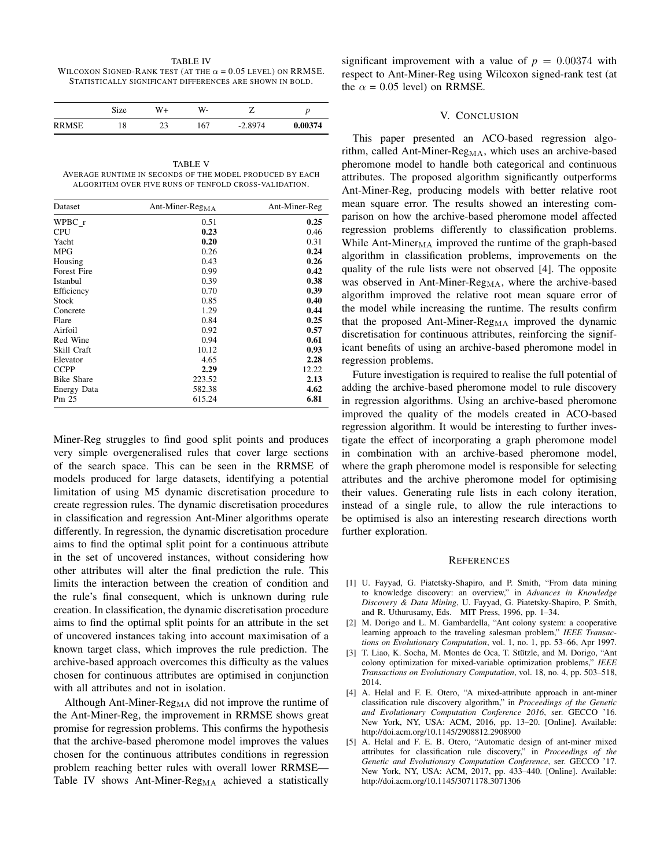TABLE IV WILCOXON SIGNED-RANK TEST (AT THE  $\alpha = 0.05$  LEVEL) ON RRMSE. STATISTICALLY SIGNIFICANT DIFFERENCES ARE SHOWN IN BOLD.

|              | Size | W+        | W-  |           |         |
|--------------|------|-----------|-----|-----------|---------|
| <b>RRMSE</b> | 18   | າາ<br>ل ک | 167 | $-2.8974$ | 0.00374 |

TABLE V AVERAGE RUNTIME IN SECONDS OF THE MODEL PRODUCED BY EACH ALGORITHM OVER FIVE RUNS OF TENFOLD CROSS-VALIDATION.

| Dataset            | Ant-Miner-Reg <sub>MA</sub> | Ant-Miner-Reg |
|--------------------|-----------------------------|---------------|
| WPBC r             | 0.51                        | 0.25          |
| <b>CPU</b>         | 0.23                        | 0.46          |
| Yacht              | 0.20                        | 0.31          |
| <b>MPG</b>         | 0.26                        | 0.24          |
| Housing            | 0.43                        | 0.26          |
| <b>Forest Fire</b> | 0.99                        | 0.42          |
| Istanbul           | 0.39                        | 0.38          |
| Efficiency         | 0.70                        | 0.39          |
| Stock              | 0.85                        | 0.40          |
| Concrete           | 1.29                        | 0.44          |
| Flare              | 0.84                        | 0.25          |
| Airfoil            | 0.92                        | 0.57          |
| Red Wine           | 0.94                        | 0.61          |
| Skill Craft        | 10.12                       | 0.93          |
| Elevator           | 4.65                        | 2.28          |
| <b>CCPP</b>        | 2.29                        | 12.22         |
| <b>Bike Share</b>  | 223.52                      | 2.13          |
| <b>Energy Data</b> | 582.38                      | 4.62          |
| Pm 25              | 615.24                      | 6.81          |

Miner-Reg struggles to find good split points and produces very simple overgeneralised rules that cover large sections of the search space. This can be seen in the RRMSE of models produced for large datasets, identifying a potential limitation of using M5 dynamic discretisation procedure to create regression rules. The dynamic discretisation procedures in classification and regression Ant-Miner algorithms operate differently. In regression, the dynamic discretisation procedure aims to find the optimal split point for a continuous attribute in the set of uncovered instances, without considering how other attributes will alter the final prediction the rule. This limits the interaction between the creation of condition and the rule's final consequent, which is unknown during rule creation. In classification, the dynamic discretisation procedure aims to find the optimal split points for an attribute in the set of uncovered instances taking into account maximisation of a known target class, which improves the rule prediction. The archive-based approach overcomes this difficulty as the values chosen for continuous attributes are optimised in conjunction with all attributes and not in isolation.

Although Ant-Miner- $Reg_{MA}$  did not improve the runtime of the Ant-Miner-Reg, the improvement in RRMSE shows great promise for regression problems. This confirms the hypothesis that the archive-based pheromone model improves the values chosen for the continuous attributes conditions in regression problem reaching better rules with overall lower RRMSE— Table IV shows Ant-Miner-Reg<sub>MA</sub> achieved a statistically significant improvement with a value of  $p = 0.00374$  with respect to Ant-Miner-Reg using Wilcoxon signed-rank test (at the  $\alpha$  = 0.05 level) on RRMSE.

#### V. CONCLUSION

This paper presented an ACO-based regression algorithm, called Ant-Miner-Reg<sub>MA</sub>, which uses an archive-based pheromone model to handle both categorical and continuous attributes. The proposed algorithm significantly outperforms Ant-Miner-Reg, producing models with better relative root mean square error. The results showed an interesting comparison on how the archive-based pheromone model affected regression problems differently to classification problems. While Ant-Miner $_{\text{MA}}$  improved the runtime of the graph-based algorithm in classification problems, improvements on the quality of the rule lists were not observed [4]. The opposite was observed in Ant-Miner-Reg<sub>MA</sub>, where the archive-based algorithm improved the relative root mean square error of the model while increasing the runtime. The results confirm that the proposed Ant-Miner- $Reg_{MA}$  improved the dynamic discretisation for continuous attributes, reinforcing the significant benefits of using an archive-based pheromone model in regression problems.

Future investigation is required to realise the full potential of adding the archive-based pheromone model to rule discovery in regression algorithms. Using an archive-based pheromone improved the quality of the models created in ACO-based regression algorithm. It would be interesting to further investigate the effect of incorporating a graph pheromone model in combination with an archive-based pheromone model, where the graph pheromone model is responsible for selecting attributes and the archive pheromone model for optimising their values. Generating rule lists in each colony iteration, instead of a single rule, to allow the rule interactions to be optimised is also an interesting research directions worth further exploration.

#### **REFERENCES**

- [1] U. Fayyad, G. Piatetsky-Shapiro, and P. Smith, "From data mining to knowledge discovery: an overview," in *Advances in Knowledge Discovery & Data Mining*, U. Fayyad, G. Piatetsky-Shapiro, P. Smith, and R. Uthurusamy, Eds. MIT Press, 1996, pp. 1–34.
- [2] M. Dorigo and L. M. Gambardella, "Ant colony system: a cooperative learning approach to the traveling salesman problem," *IEEE Transactions on Evolutionary Computation*, vol. 1, no. 1, pp. 53–66, Apr 1997.
- [3] T. Liao, K. Socha, M. Montes de Oca, T. Stützle, and M. Dorigo, "Ant colony optimization for mixed-variable optimization problems," *IEEE Transactions on Evolutionary Computation*, vol. 18, no. 4, pp. 503–518, 2014.
- [4] A. Helal and F. E. Otero, "A mixed-attribute approach in ant-miner classification rule discovery algorithm," in *Proceedings of the Genetic and Evolutionary Computation Conference 2016*, ser. GECCO '16. New York, NY, USA: ACM, 2016, pp. 13–20. [Online]. Available: http://doi.acm.org/10.1145/2908812.2908900
- [5] A. Helal and F. E. B. Otero, "Automatic design of ant-miner mixed attributes for classification rule discovery," in *Proceedings of the Genetic and Evolutionary Computation Conference*, ser. GECCO '17. New York, NY, USA: ACM, 2017, pp. 433–440. [Online]. Available: http://doi.acm.org/10.1145/3071178.3071306